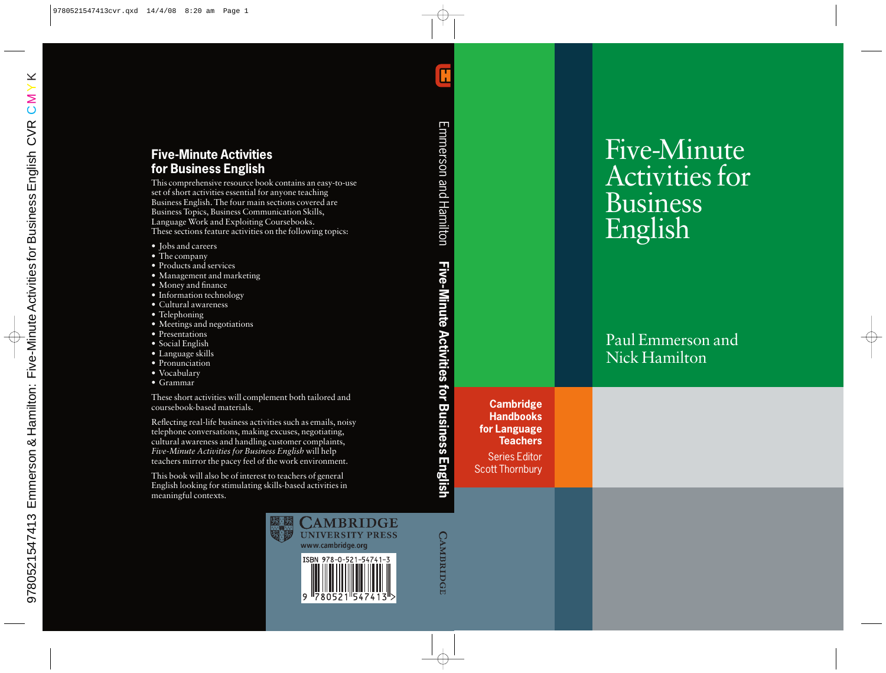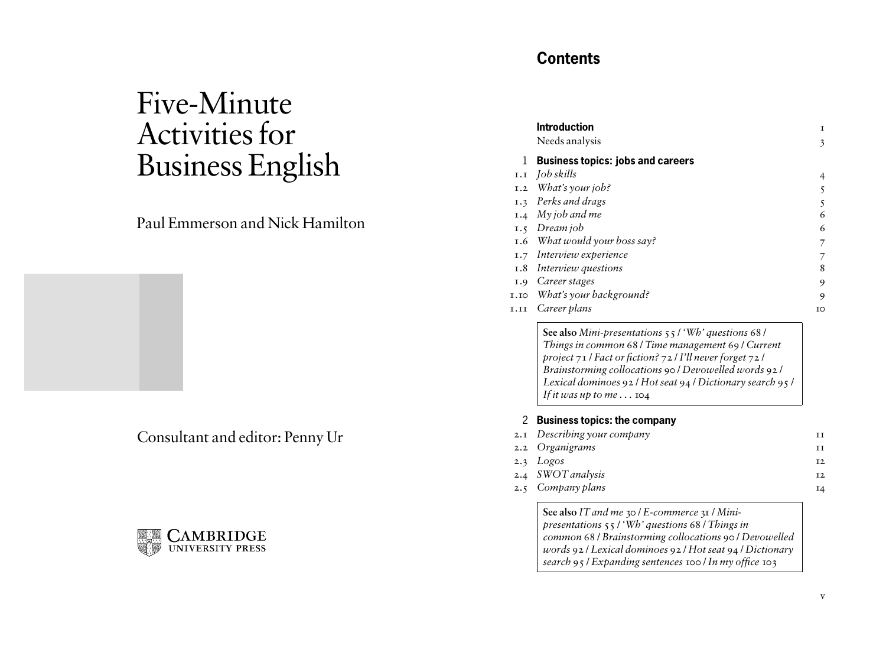# Five-Minute Activities for Business English

## Paul Emmerson and Nick Hamilton

Consultant and editor: Penny Ur



## **Contents**

|     | <b>Introduction</b><br>Needs analysis    | Т<br>3 |
|-----|------------------------------------------|--------|
| 1   | <b>Business topics: jobs and careers</b> |        |
|     | 1.1 <i>Job skills</i>                    | 4      |
| I.2 | What's your job?                         |        |
|     | 1.3 Perks and drags                      |        |
|     | $1.4$ My job and me                      | 6      |
| I.5 | Dream job                                | 6      |
|     | 1.6 What would your boss say?            |        |
| I.7 | Interview experience                     |        |
|     | 1.8 Interview questions                  | 8      |
| I.9 | Career stages                            | 9      |
|     | 1.10 What's your background?             | 9      |
|     | 1.11 Career plans                        | TO     |

**See also** *Mini-presentations* 55 / *'Wh' questions* 68 / *Things in common* 68 / *Time management* 69 / *Current project* 71 / *Fact or fiction?* 72 / *I'll never forget* 72 / *Brainstorming collocations* 90 / *Devowelled words* 92 / *Lexical dominoes* 92 / *Hot seat* 94 / *Dictionary search* 95 / *If it was up to me*  $\ldots$  104

## 2 **Business topics: the company**

| 2.1 Describing your company |                |
|-----------------------------|----------------|
| 2.2 Organigrams             | TТ             |
| 2.3 $Logos$                 | T <sub>2</sub> |
| 2.4 SWOT analysis           | T <sub>2</sub> |
| 2.5 Company plans           |                |

**See also** *IT and me* 30 / *E-commerce* 31 / *Minipresentations* 55 / *'Wh' questions* 68 / *Things in common* 68 / *Brainstorming collocations* 90 / *Devowelled words* 92 / *Lexical dominoes* 92 / *Hot seat* 94 / *Dictionary search* 95 / *Expanding sentences* 100 / *In my office* 103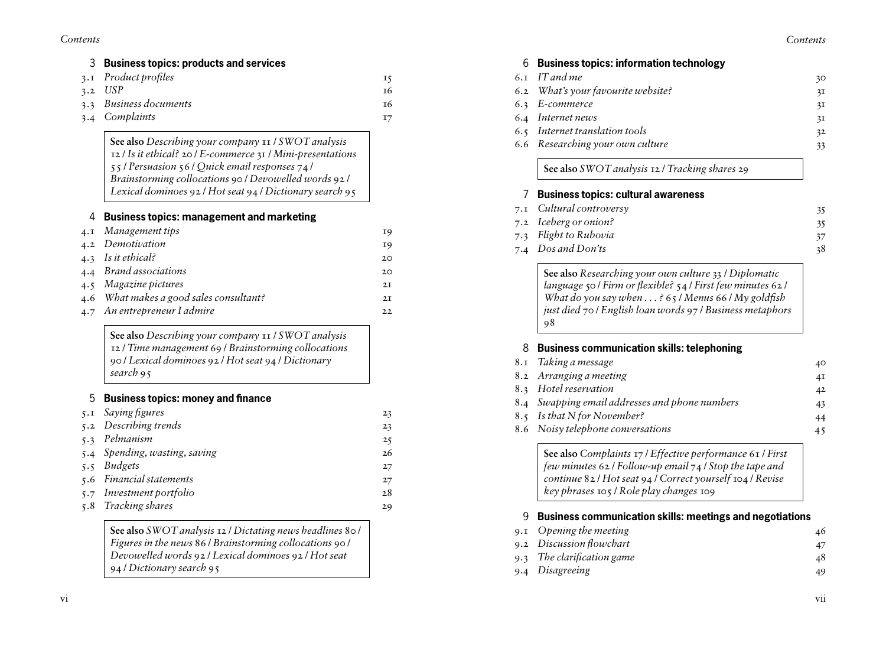### *Contents*

| <b>Business topics: products and services</b>                                                                                                                                                                                                                                              |
|--------------------------------------------------------------------------------------------------------------------------------------------------------------------------------------------------------------------------------------------------------------------------------------------|
| Product profiles                                                                                                                                                                                                                                                                           |
| <b>USP</b>                                                                                                                                                                                                                                                                                 |
| Business documents                                                                                                                                                                                                                                                                         |
| Complaints                                                                                                                                                                                                                                                                                 |
| See also Describing your company 11 / SWOT analysis<br>12 / Is it ethical? 20 / E-commerce 31 / Mini-presentations<br>55 / Persuasion 56 / Quick email responses 74 /<br>Brainstorming collocations 90 / Devowelled words 92 /<br>Lexical dominoes 92 / Hot seat 94 / Dictionary search 95 |
| <b>Business topics: management and marketing</b>                                                                                                                                                                                                                                           |
| Management tips                                                                                                                                                                                                                                                                            |
| Demotivation                                                                                                                                                                                                                                                                               |
| Is it ethical?                                                                                                                                                                                                                                                                             |
| <b>Brand</b> associations                                                                                                                                                                                                                                                                  |
| Magazine pictures                                                                                                                                                                                                                                                                          |
| What makes a good sales consultant?                                                                                                                                                                                                                                                        |
| An entrepreneur I admire                                                                                                                                                                                                                                                                   |
| See also Describing your company 11 / SWOT analysis<br>12 / Time management 69 / Brainstorming collocations<br>90 / Lexical dominoes 92 / Hot seat 94 / Dictionary<br>search 95                                                                                                            |
| <b>Business topics: money and finance</b>                                                                                                                                                                                                                                                  |
| Saying figures                                                                                                                                                                                                                                                                             |
| Describing trends                                                                                                                                                                                                                                                                          |
| Pelmanism                                                                                                                                                                                                                                                                                  |
| Spending, wasting, saving                                                                                                                                                                                                                                                                  |
| <b>Budgets</b>                                                                                                                                                                                                                                                                             |
| Financial statements                                                                                                                                                                                                                                                                       |
| Investment portfolio                                                                                                                                                                                                                                                                       |
| Tracking shares                                                                                                                                                                                                                                                                            |
| See also SWOT analysis 12 / Dictating news headlines 80 /<br>Figures in the news 86 / Brainstorming collocations 90 /<br>Devowelled words 92 / Lexical dominoes 92 / Hot seat<br>94 / Dictionary search 95                                                                                 |

## 6 **Business topics: information technology** 6 . 1 *IT and me* 30

| 6.2 What's your favourite website?             | 31 |
|------------------------------------------------|----|
| 6.3 E-commerce                                 | 31 |
| 6.4 Internet news                              | 3Ι |
| 6.5 Internet translation tools                 | 32 |
| 6.6 Researching your own culture               | 33 |
| See also SWOT analysis 12 / Tracking shares 29 |    |

## 7 **Business topics: cultural awareness** 7 . 1 *Cultural controversy* 35 7 . 2 *Iceberg or onion?* 35 7 . 3 *Flight to Rubovia* 37 7 . 4 *Dos and Don'ts* 38

**See also** *Researching your own culture* 33 / *Diplomatic language* 50 / *Firm or flexible?* 54 / *First few minutes* 62 / *What do you say when . . . ?* 65 / *Menus* 66 / *My goldfish just died* 70 / *English loan words* 97 / *Business metaphors* 98

## 8 **Business communication skills: telephoning**

| 8.1 Taking a message                           | 40 |
|------------------------------------------------|----|
| 8.2 Arranging a meeting                        | 4I |
| 8.3 Hotel reservation                          | 42 |
| 8.4 Swapping email addresses and phone numbers | 43 |
| 8.5 Is that N for November?                    | 44 |
| 8.6 Noisy telephone conversations              | 45 |
|                                                |    |

**See also** *Complaints* 17 / *Effective performance* 61 / *First few minutes* 62 / *Follow-up email* 74 / *Stop the tape and continue* 82 / *Hot seat* 94 / *Correct yourself* 104 / *Revise key phrases* 105 / *Role play changes* 109

## 9 **Business communication skills: meetings and negotiations**

| 9.1 Opening the meeting    | 46 |
|----------------------------|----|
| 9.2 Discussion flowchart   |    |
| 9.3 The clarification game | 48 |
| 9.4 Disagreeing            |    |

vii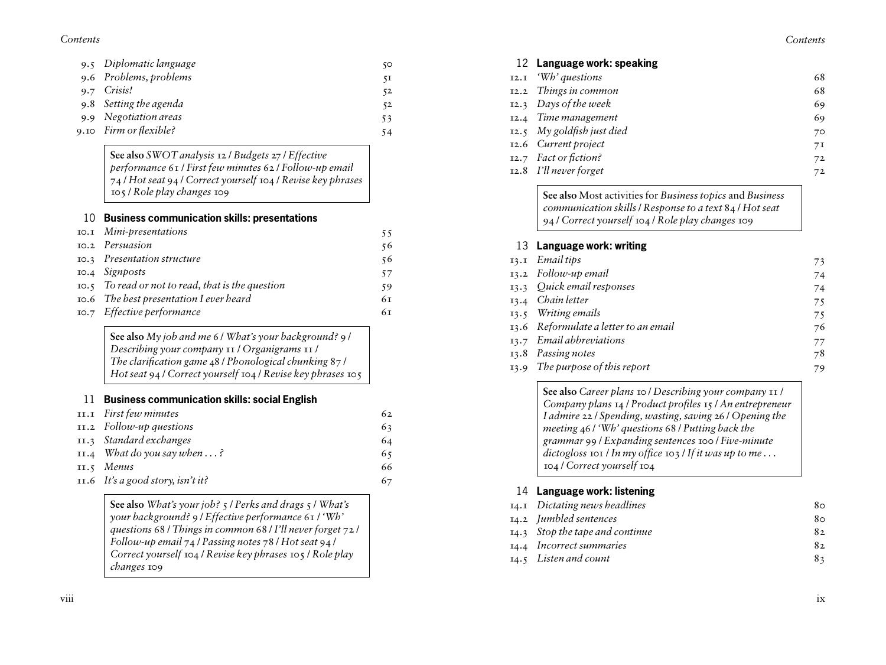*Contents*

| 9.5 Diplomatic language | 50 |
|-------------------------|----|
| 9.6 Problems, problems  | 51 |
| 9.7 Crisis!             | 52 |
| 9.8 Setting the agenda  | 52 |
| 9.9 Negotiation areas   | 53 |
| 9.10 Firm or flexible?  | 54 |

**See also** *SWOT analysis* 12 / *Budgets* 27 / *Effective performance* 61 / *First few minutes* 62 / *Follow-up email* / *Hot seat* 94 / *Correct yourself* 104 / *Revise key phrases*  / *Role play changes* 109

## **Business communication skills: presentations**

| 10.1 Mini-presentations                                        | 55 |
|----------------------------------------------------------------|----|
| 10.2 Persuasion                                                | 56 |
| 10.3 Presentation structure                                    | 56 |
| 10.4 Signposts                                                 | 57 |
| $\overline{10.5}$ To read or not to read, that is the question | 59 |
| 10.6 The best presentation I ever heard                        | 6т |
| 10.7 Effective performance                                     | 6т |

| See also My job and me 6 / What's your background? 9 /      |
|-------------------------------------------------------------|
| Describing your company 11 / Organigrams 11 /               |
| The clarification game $48/$ Phonological chunking $87/$    |
| Hot seat 94 / Correct yourself 104 / Revise key phrases 105 |

## **Business communication skills: social English**

| II.I First few minutes              | 62 |
|-------------------------------------|----|
| $II.2$ Follow-up questions          | 63 |
| II.3 Standard exchanges             | 64 |
| 11.4 What do you say when $\dots$ ? | 65 |
| $II.5$ Menus                        | 66 |
| $11.6$ It's a good story, isn't it? | 67 |

**See also** *What's your job?* 5 / *Perks and drags* 5 / *What's your background?* 9 / *Effective performance* 61 / *'Wh' questions* 68 / *Things in common* 68 / *I'll never forget* 72 / *Follow-up email* 74 / *Passing notes* 78 / *Hot seat* 94 / *Correct yourself* 104 / *Revise key phrases* 105 / *Role play changes* 109

viii

## **Language work: speaking** .1 *'Wh' questions* 68 .2 *Things in common* 68 .3 *Days of the week* 69 .4 *Time management* 69 .5 *My goldfish just died* 70 .6 *Current project* 71 .7 *Fact or fiction?* 72 .8 *I'll never forget* 72

**See also** Most activities for *Business topics* and *Business communication skills*/ *Response to a text* 84 / *Hot seat*  / *Correct yourself* 104 / *Role play changes* 109

## **Language work: writing**

| 13.1 Email tips                       | 73 |
|---------------------------------------|----|
| 13.2 Follow-up email                  | 74 |
| 13.3 Ouick email responses            | 74 |
| 13.4 Chain letter                     | 75 |
| 13.5 Writing emails                   | 75 |
| 13.6 Reformulate a letter to an email | 76 |
| 13.7 Email abbreviations              | 77 |
| 13.8 Passing notes                    | 78 |
| 13.9 The purpose of this report       | 79 |

**See also** *Career plans* 10 / *Describing your company* 11 / *Company plans* 14 / *Product profiles* 15 / *An entrepreneur I admire* 22 / *Spending, wasting, saving* 26 / *Opening the meeting* 46 / *'Wh' questions* 68 / *Putting back the grammar* 99 / *Expanding sentences* 100 / *Five-minute dictogloss* 101 / *In my office* 103 / *If it was up to me . . .*  / *Correct yourself* 104

## **Language work: listening**

| 14.1 Dictating news headlines   | 80 |
|---------------------------------|----|
| 14.2 Jumbled sentences          | 80 |
| 14.3 Stop the tape and continue | 82 |
| 14.4 Incorrect summaries        | 82 |
| 14.5 Listen and count           | 83 |
|                                 |    |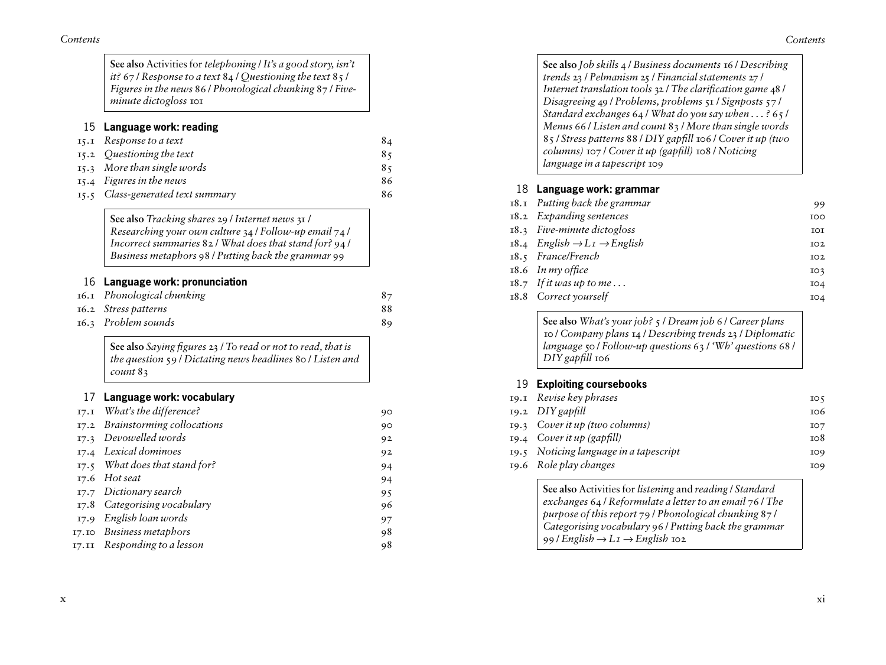| Contents |  |
|----------|--|
|          |  |

| See also Activities for telephoning / It's a good story, isn't<br>it? 67 / Response to a text $84$ / Questioning the text $85$ /<br>Figures in the news 86 / Phonological chunking 87 / Five-<br>minute dictogloss IOI           |    |
|----------------------------------------------------------------------------------------------------------------------------------------------------------------------------------------------------------------------------------|----|
| Language work: reading                                                                                                                                                                                                           |    |
| Response to a text                                                                                                                                                                                                               | 84 |
| Questioning the text                                                                                                                                                                                                             | 85 |
| More than single words                                                                                                                                                                                                           | 85 |
| Figures in the news                                                                                                                                                                                                              | 86 |
| Class-generated text summary                                                                                                                                                                                                     | 86 |
| See also Tracking shares 29 / Internet news 31 /<br>Researching your own culture 34 / Follow-up email 74 /<br>Incorrect summaries $82 /$ What does that stand for? $94 /$<br>Business metaphors 98 / Putting back the grammar 99 |    |
| Language work: pronunciation                                                                                                                                                                                                     |    |
| Phonological chunking                                                                                                                                                                                                            | 87 |
| Stress patterns                                                                                                                                                                                                                  | 88 |
| Problem sounds                                                                                                                                                                                                                   | 89 |
| See also Saying figures 23 / To read or not to read, that is<br>the question 59 / Dictating news headlines 80 / Listen and<br>count 83                                                                                           |    |
| Language work: vocabulary                                                                                                                                                                                                        |    |
| What's the difference?                                                                                                                                                                                                           | 90 |
| Brainstorming collocations                                                                                                                                                                                                       | 90 |
| Devowelled words                                                                                                                                                                                                                 | 92 |
| Lexical dominoes                                                                                                                                                                                                                 | 92 |
| What does that stand for?                                                                                                                                                                                                        | 94 |
| Hot seat                                                                                                                                                                                                                         | 94 |
| Dictionary search                                                                                                                                                                                                                | 95 |
|                                                                                                                                                                                                                                  | 96 |
| Categorising vocabulary                                                                                                                                                                                                          |    |
| English loan words                                                                                                                                                                                                               | 97 |
| <b>Business metaphors</b>                                                                                                                                                                                                        | 98 |

| See also Job skills 4 / Business documents 16 / Describing    |
|---------------------------------------------------------------|
| trends 23 / Pelmanism 25 / Financial statements 27 /          |
| Internet translation tools 32 / The clarification game 48 /   |
| Disagreeing 49 / Problems, problems 51 / Signposts 57 /       |
| Standard exchanges $64$ / What do you say when $\dots$ ? 65 / |
| Menus 66 / Listen and count 83 / More than single words       |
| 85 / Stress patterns 88 / DIY gapfill 106 / Cover it up (two  |
| columns) 107 / Cover it up (gapfill) 108 / Noticing           |
| language in a tapescript 109                                  |

## 18 **Language work: grammar**

| 18.1 Putting back the grammar                      | 99              |
|----------------------------------------------------|-----------------|
| 18.2 Expanding sentences                           | <b>IOO</b>      |
| 18.3 Five-minute dictogloss                        | IOI             |
| 18.4 English $\rightarrow L_I \rightarrow$ English | IO <sub>2</sub> |
| 18.5 France/French                                 | IO2             |
| $18.6$ In my office                                | IO <sub>3</sub> |
| $18.7$ If it was up to me                          | IO4             |
| 18.8 Correct yourself                              | IO4             |
|                                                    |                 |

**See also** *What's your job?* 5 / *Dream job* 6 / *Career plans* 10 / *Company plans* 14 / *Describing trends* 23 / *Diplomatic language* 50 / *Follow-up questions* 63 / *'Wh' questions* 68 / *DIY gapfill* 106

## 19 **Exploiting coursebooks**

| 19.1 Revise key phrases                | IO <sub>5</sub> |
|----------------------------------------|-----------------|
| $19.2$ DIY gapfill                     | 106             |
| 19.3 Cover it up (two columns)         | IO7             |
| 19.4 Cover it up (gapfill)             | 108             |
| 19.5 Noticing language in a tapescript | <b>IO9</b>      |
| 19.6 Role play changes                 | <b>IO9</b>      |
|                                        |                 |

**See also** Activities for *listening* and *reading* / *Standard exchanges* 64 / *Reformulate a letter to an email* 76 / *The purpose of this report* 79 / *Phonological chunking* 87 / *Categorising vocabulary* 96 / *Putting back the grammar*  $99$  / *English*  $\rightarrow$  *L<sub>I</sub>*  $\rightarrow$  *English* 102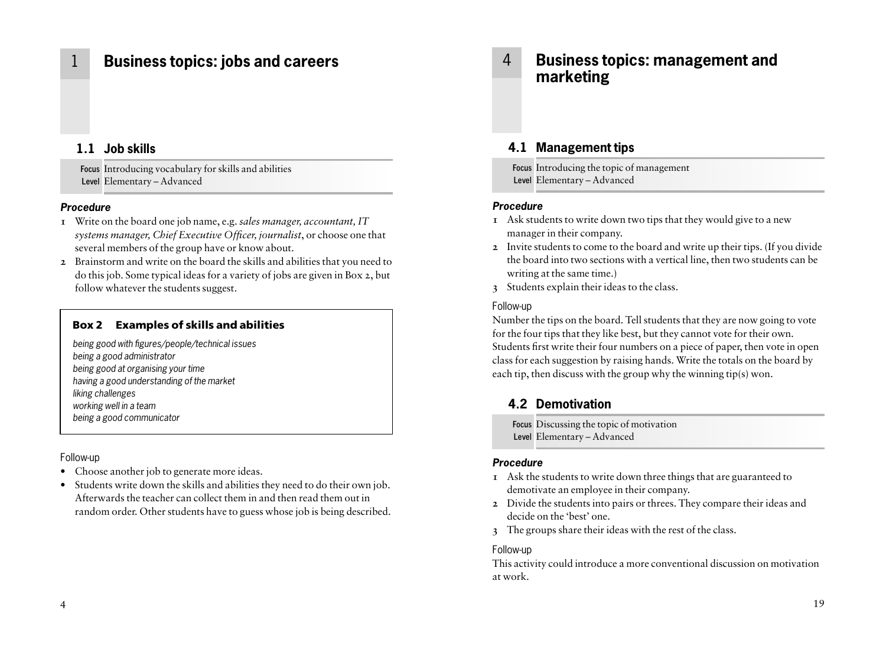## 1 **Business topics: jobs and careers**

## **1.1 Job skills**

**Focus** Introducing vocabulary for skills and abilities **Level** Elementary – Advanced

## *Procedure*

- **1** Write on the board one job name, e.g. *sales manager, accountant, IT systems manager, Chief Executive Officer, journalist*, or choose one that several members of the group have or know about.
- **2** Brainstorm and write on the board the skills and abilities that you need to do this job. Some typical ideas for a variety of jobs are given in Box 2, but follow whatever the students suggest.

## **Box 2 Examples of skills and abilities**

*being good with figures/people/technical issues being a good administrator being good at organising your time having a good understanding of the market liking challenges working well in a team being a good communicator*

### Follow-up

- Choose another job to generate more ideas.
- Students write down the skills and abilities they need to do their own job. Afterwards the teacher can collect them in and then read them out in random order. Other students have to guess whose job is being described.

## 4 **Business topics: management and marketing**

## **4.1 Management tips**

**Focus** Introducing the topic of management **Level** Elementary – Advanced

### *Procedure*

- **1** Ask students to write down two tips that they would give to a new manager in their company.
- **2** Invite students to come to the board and write up their tips. (If you divide the board into two sections with a vertical line, then two students can be writing at the same time.)
- **3** Students explain their ideas to the class.

### Follow-up

Number the tips on the board. Tell students that they are now going to vote for the four tips that they like best, but they cannot vote for their own. Students first write their four numbers on a piece of paper, then vote in open class for each suggestion by raising hands. Write the totals on the board by each tip, then discuss with the group why the winning tip(s) won.

## **4.2 Demotivation**

**Focus** Discussing the topic of motivation **Level** Elementary – Advanced

### *Procedure*

- **1** Ask the students to write down three things that are guaranteed to demotivate an employee in their company.
- **2** Divide the students into pairs or threes. They compare their ideas and decide on the 'best' one.
- **3** The groups share their ideas with the rest of the class.

### Follow-up

This activity could introduce a more conventional discussion on motivation at work.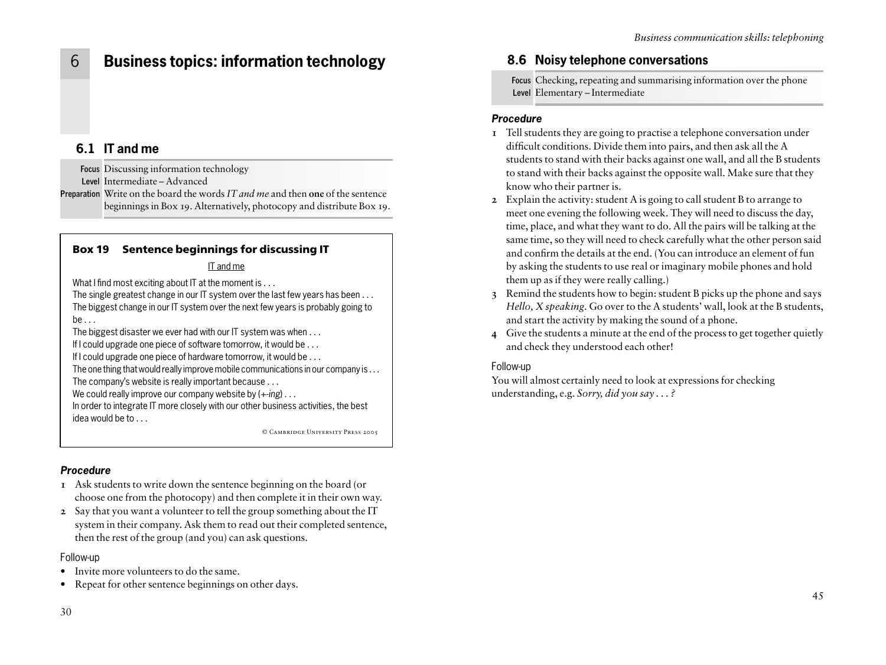## 6 **Business topics: information technology**

## **6.1 IT and me**

**Focus** Discussing information technology

**Level** Intermediate – Advanced

**Preparation** Write on the board the words *IT and me* and then **one** of the sentence beginnings in Box 19. Alternatively, photocopy and distribute Box 19.

## **Box 19 Sentence beginnings for discussing IT**

## IT and me

What I find most exciting about IT at the moment is . . .

The single greatest change in our IT system over the last few years has been . . . The biggest change in our IT system over the next few years is probably going to be . . .

The biggest disaster we ever had with our IT system was when . . .

If I could upgrade one piece of software tomorrow, it would be . . .

If I could upgrade one piece of hardware tomorrow, it would be . . .

The one thing that would really improve mobile communications in our company is . . . The company's website is really important because . . .

We could really improve our company website by (+-*ing*) . . .

In order to integrate IT more closely with our other business activities, the best idea would be to . . .

© Cambridge University Press 2005

## *Procedure*

- **1** Ask students to write down the sentence beginning on the board (or choose one from the photocopy) and then complete it in their own way.
- **2** Say that you want a volunteer to tell the group something about the IT system in their company. Ask them to read out their completed sentence, then the rest of the group (and you) can ask questions.

## Follow-up

- Invite more volunteers to do the same.
- Repeat for other sentence beginnings on other days.

## **8.6 Noisy telephone conversations**

**Focus** Checking, repeating and summarising information over the phone **Level** Elementary – Intermediate

## *Procedure*

- **1** Tell students they are going to practise a telephone conversation under difficult conditions. Divide them into pairs, and then ask all the A students to stand with their backs against one wall, and all the B students to stand with their backs against the opposite wall. Make sure that they know who their partner is.
- **2** Explain the activity: student A is going to call student B to arrange to meet one evening the following week. They will need to discuss the day, time, place, and what they want to do. All the pairs will be talking at the same time, so they will need to check carefully what the other person said and confirm the details at the end. (You can introduce an element of fun by asking the students to use real or imaginary mobile phones and hold them up as if they were really calling.)
- **3** Remind the students how to begin: student B picks up the phone and says *Hello, X speaking*. Go over to the A students' wall, look at the B students, and start the activity by making the sound of a phone.
- **4** Give the students a minute at the end of the process to get together quietly and check they understood each other!

## Follow-up

You will almost certainly need to look at expressions for checking understanding, e.g. *Sorry, did you say . . . ?*